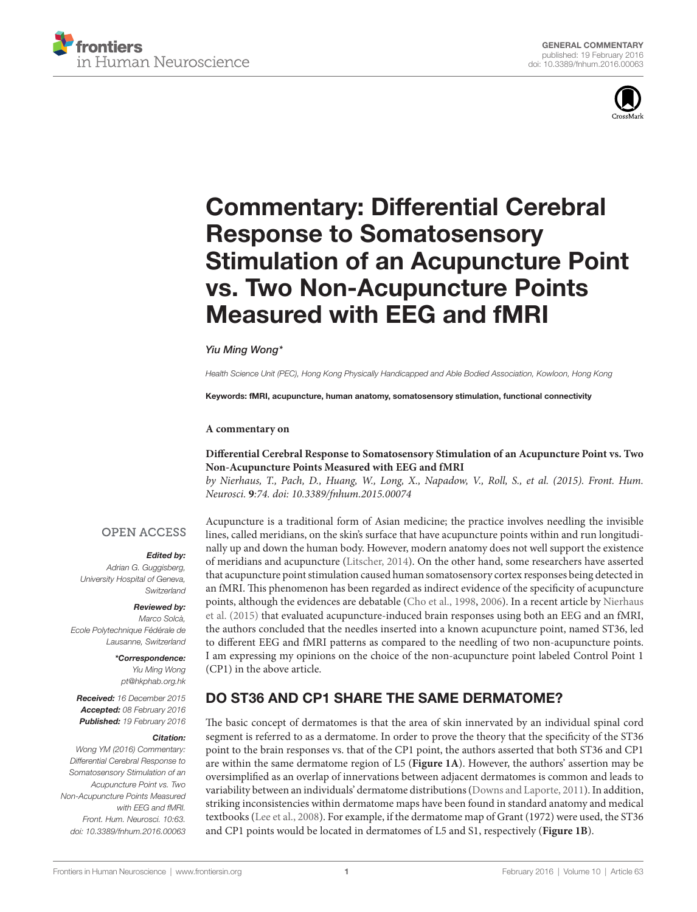



# [Commentary: Differential Cerebral](http://www.frontiersin.org/Journal/10.3389/fnhum.2016.00063/abstract)  **Response to Somatosensory Stimulation of an Acupuncture Point** vs. Two Non-Acupuncture Points **Measured with EEG and fMRI**

### *[Yiu Ming Wong](http://loop.frontiersin.org/people/303248/overview)\**

*Health Science Unit (PEC), Hong Kong Physically Handicapped and Able Bodied Association, Kowloon, Hong Kong*

Keywords: fMRI, acupuncture, human anatomy, somatosensory stimulation, functional connectivity

#### **A commentary on**

### **[Differential Cerebral Response to Somatosensory Stimulation of an Acupuncture Point vs. Two](http://journal.frontiersin.org/article/10.3389/fnhum.2015.00074/full)  [Non-Acupuncture Points Measured with EEG and fMRI](http://journal.frontiersin.org/article/10.3389/fnhum.2015.00074/full)**

*by Nierhaus, T., Pach, D., Huang, W., Long, X., Napadow, V., Roll, S., et al. (2015). Front. Hum. Neurosci.* **9***:74. doi: [10.3389/fnhum.2015.00074](http://dx.doi.org/10.3389/fnhum.2015.00074)*

### **OPEN ACCESS**

#### *Edited by:*

*Adrian G. Guggisberg, University Hospital of Geneva, Switzerland*

*Reviewed by:* 

*Marco Solcà, Ecole Polytechnique Fédérale de Lausanne, Switzerland*

#### *\*Correspondence:*

*Yiu Ming Wong [pt@hkphab.org.hk](mailto:pt@hkphab.org.hk)*

*Received: 16 December 2015 Accepted: 08 February 2016 Published: 19 February 2016*

#### *Citation:*

*Wong YM (2016) Commentary: Differential Cerebral Response to Somatosensory Stimulation of an Acupuncture Point vs. Two Non-Acupuncture Points Measured with EEG and fMRI. Front. Hum. Neurosci. 10:63. doi: [10.3389/fnhum.2016.00063](http://dx.doi.org/10.3389/fnhum.2016.00063)*

Acupuncture is a traditional form of Asian medicine; the practice involves needling the invisible lines, called meridians, on the skin's surface that have acupuncture points within and run longitudinally up and down the human body. However, modern anatomy does not well support the existence of meridians and acupuncture [\(Litscher, 2014\)](#page-1-0). On the other hand, some researchers have asserted that acupuncture point stimulation caused human somatosensory cortex responses being detected in an fMRI. This phenomenon has been regarded as indirect evidence of the specificity of acupuncture points, although the evidences are debatable ([Cho et al., 1998](#page-1-1), [2006\)](#page-1-2). In a recent article by [Nierhaus](#page-1-3)  [et al. \(2015\)](#page-1-3) that evaluated acupuncture-induced brain responses using both an EEG and an fMRI, the authors concluded that the needles inserted into a known acupuncture point, named ST36, led to different EEG and fMRI patterns as compared to the needling of two non-acupuncture points. I am expressing my opinions on the choice of the non-acupuncture point labeled Control Point 1 (CP1) in the above article.

# DO ST36 AND CP1 SHARE THE SAME DERMATOME?

The basic concept of dermatomes is that the area of skin innervated by an individual spinal cord segment is referred to as a dermatome. In order to prove the theory that the specificity of the ST36 point to the brain responses vs. that of the CP1 point, the authors asserted that both ST36 and CP1 are within the same dermatome region of L5 (**[Figure 1A](#page-1-4)**). However, the authors' assertion may be oversimplified as an overlap of innervations between adjacent dermatomes is common and leads to variability between an individuals' dermatome distributions [\(Downs and Laporte, 2011\)](#page-1-5). In addition, striking inconsistencies within dermatome maps have been found in standard anatomy and medical textbooks ([Lee et al., 2008\)](#page-1-6). For example, if the dermatome map of Grant (1972) were used, the ST36 and CP1 points would be located in dermatomes of L5 and S1, respectively (**[Figure 1B](#page-1-4)**).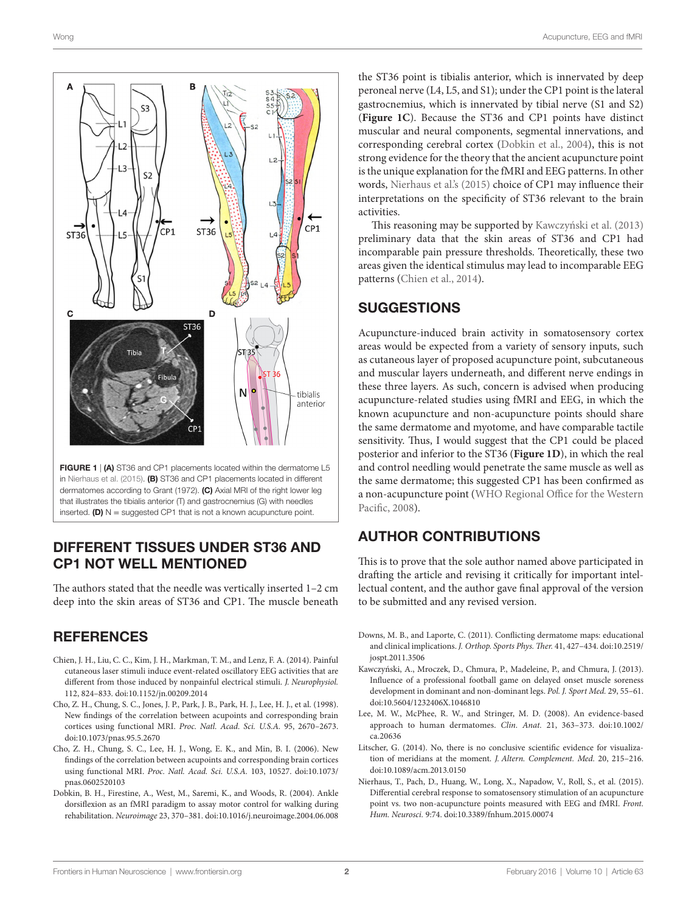

<span id="page-1-4"></span>FIGURE 1 | (A) ST36 and CP1 placements located within the dermatome L5 in [Nierhaus et al. \(2015\)](#page-1-3). (B) ST36 and CP1 placements located in different dermatomes according to Grant (1972). (C) Axial MRI of the right lower leg that illustrates the tibialis anterior (T) and gastrocnemius (G) with needles inserted. (D)  $N =$  suggested CP1 that is not a known acupuncture point.

### DIFFERENT TISSUES UNDER ST36 AND CP1 NOT WELL MENTIONED

The authors stated that the needle was vertically inserted 1–2 cm deep into the skin areas of ST36 and CP1. The muscle beneath

### **REFERENCES**

- <span id="page-1-9"></span>Chien, J. H., Liu, C. C., Kim, J. H., Markman, T. M., and Lenz, F. A. (2014). Painful cutaneous laser stimuli induce event-related oscillatory EEG activities that are different from those induced by nonpainful electrical stimuli. *J. Neurophysiol.* 112, 824–833. doi:[10.1152/jn.00209.2014](http://dx.doi.org/10.1152/jn.00209.2014)
- <span id="page-1-1"></span>Cho, Z. H., Chung, S. C., Jones, J. P., Park, J. B., Park, H. J., Lee, H. J., et al. (1998). New findings of the correlation between acupoints and corresponding brain cortices using functional MRI. *Proc. Natl. Acad. Sci. U.S.A.* 95, 2670–2673. doi:[10.1073/pnas.95.5.2670](http://dx.doi.org/10.1073/pnas.95.5.2670)
- <span id="page-1-2"></span>Cho, Z. H., Chung, S. C., Lee, H. J., Wong, E. K., and Min, B. I. (2006). New findings of the correlation between acupoints and corresponding brain cortices using functional MRI. *Proc. Natl. Acad. Sci. U.S.A.* 103, 10527. doi[:10.1073/](http://dx.doi.org/10.1073/pnas.0602520103) [pnas.0602520103](http://dx.doi.org/10.1073/pnas.0602520103)
- <span id="page-1-7"></span>Dobkin, B. H., Firestine, A., West, M., Saremi, K., and Woods, R. (2004). Ankle dorsiflexion as an fMRI paradigm to assay motor control for walking during rehabilitation. *Neuroimage* 23, 370–381. doi:[10.1016/j.neuroimage.2004.06.008](http://dx.doi.org/10.1016/j.neuroimage.2004.06.008)

the ST36 point is tibialis anterior, which is innervated by deep peroneal nerve (L4, L5, and S1); under the CP1 point is the lateral gastrocnemius, which is innervated by tibial nerve (S1 and S2) (**[Figure 1C](#page-1-4)**). Because the ST36 and CP1 points have distinct muscular and neural components, segmental innervations, and corresponding cerebral cortex [\(Dobkin et al., 2004](#page-1-7)), this is not strong evidence for the theory that the ancient acupuncture point is the unique explanation for the fMRI and EEG patterns. In other words, [Nierhaus et al.'s \(2015\)](#page-1-3) choice of CP1 may influence their interpretations on the specificity of ST36 relevant to the brain activities.

This reasoning may be supported by [Kawczyński et al. \(2013\)](#page-1-8) preliminary data that the skin areas of ST36 and CP1 had incomparable pain pressure thresholds. Theoretically, these two areas given the identical stimulus may lead to incomparable EEG patterns [\(Chien et al., 2014](#page-1-9)).

## **SUGGESTIONS**

Acupuncture-induced brain activity in somatosensory cortex areas would be expected from a variety of sensory inputs, such as cutaneous layer of proposed acupuncture point, subcutaneous and muscular layers underneath, and different nerve endings in these three layers. As such, concern is advised when producing acupuncture-related studies using fMRI and EEG, in which the known acupuncture and non-acupuncture points should share the same dermatome and myotome, and have comparable tactile sensitivity. Thus, I would suggest that the CP1 could be placed posterior and inferior to the ST36 (**[Figure 1D](#page-1-4)**), in which the real and control needling would penetrate the same muscle as well as the same dermatome; this suggested CP1 has been confirmed as a non-acupuncture point ([WHO Regional Office for the Western](#page-2-0)  [Pacific, 2008\)](#page-2-0).

# AUTHOR CONTRIBUTIONS

This is to prove that the sole author named above participated in drafting the article and revising it critically for important intellectual content, and the author gave final approval of the version to be submitted and any revised version.

- <span id="page-1-5"></span>Downs, M. B., and Laporte, C. (2011). Conflicting dermatome maps: educational and clinical implications. *J. Orthop. Sports Phys. Ther.* 41, 427–434. doi[:10.2519/](http://dx.doi.org/10.2519/jospt.2011.3506) [jospt.2011.3506](http://dx.doi.org/10.2519/jospt.2011.3506)
- <span id="page-1-8"></span>Kawczyński, A., Mroczek, D., Chmura, P., Madeleine, P., and Chmura, J. (2013). Influence of a professional football game on delayed onset muscle soreness development in dominant and non-dominant legs. *Pol. J. Sport Med.* 29, 55–61. doi[:10.5604/1232406X.1046810](http://dx.doi.org/10.5604/1232406X.1046810)
- <span id="page-1-6"></span>Lee, M. W., McPhee, R. W., and Stringer, M. D. (2008). An evidence-based approach to human dermatomes. *Clin. Anat.* 21, 363–373. doi:[10.1002/](http://dx.doi.org/10.1002/ca.20636) [ca.20636](http://dx.doi.org/10.1002/ca.20636)
- <span id="page-1-0"></span>Litscher, G. (2014). No, there is no conclusive scientific evidence for visualization of meridians at the moment. *J. Altern. Complement. Med.* 20, 215–216. doi[:10.1089/acm.2013.0150](http://dx.doi.org/10.1089/acm.2013.0150)
- <span id="page-1-3"></span>Nierhaus, T., Pach, D., Huang, W., Long, X., Napadow, V., Roll, S., et al. (2015). Differential cerebral response to somatosensory stimulation of an acupuncture point vs. two non-acupuncture points measured with EEG and fMRI. *Front. Hum. Neurosci.* 9:74. doi:[10.3389/fnhum.2015.00074](http://dx.doi.org/10.3389/fnhum.2015.00074)